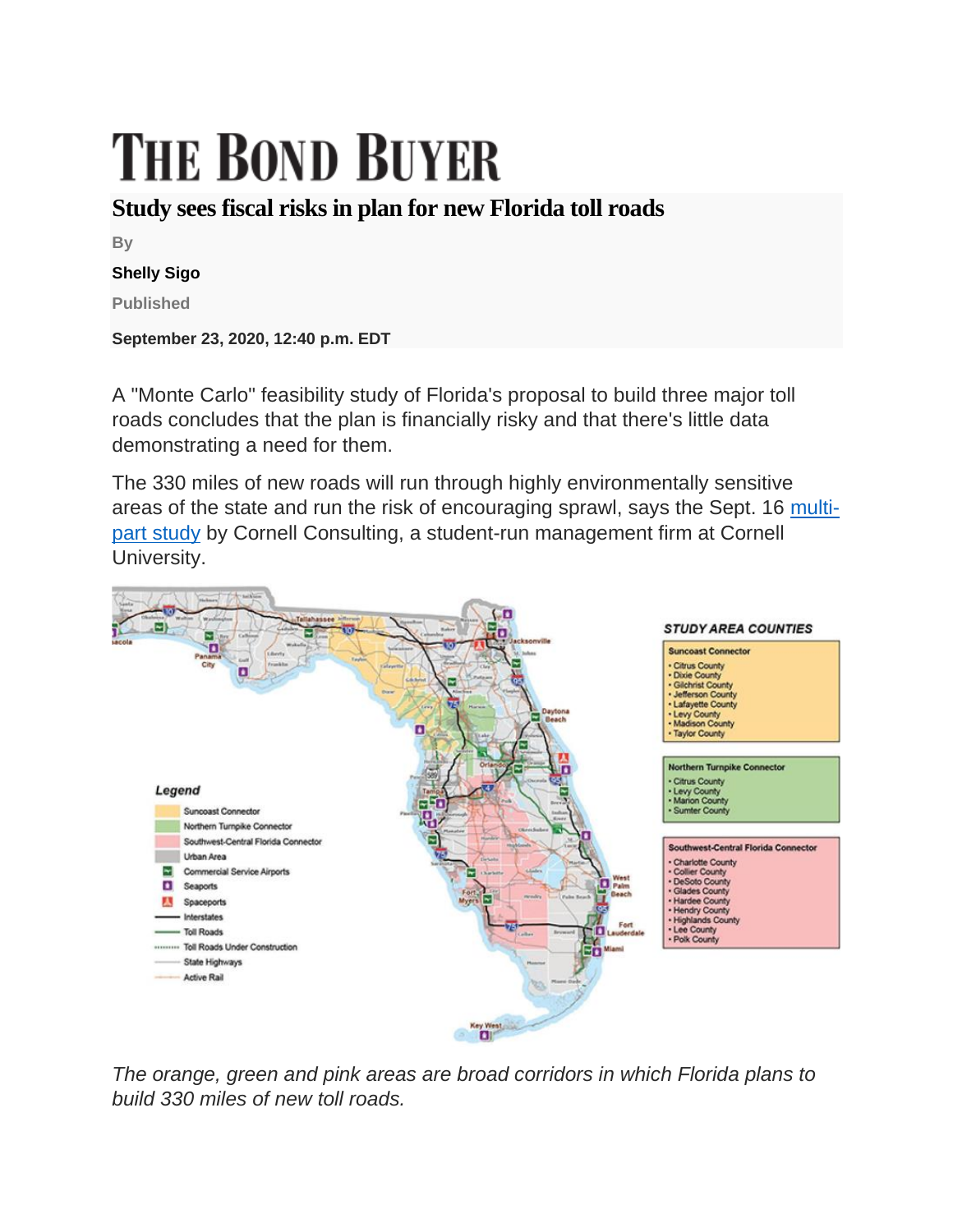# **THE BOND BUYER**

### **Study sees fiscal risks in plan for new Florida toll roads**

**By**

#### **Shelly Sigo**

**Published**

**September 23, 2020, 12:40 p.m. EDT**

A "Monte Carlo" feasibility study of Florida's proposal to build three major toll roads concludes that the plan is financially risky and that there's little data demonstrating a need for them.

The 330 miles of new roads will run through highly environmentally sensitive areas of the state and run the risk of encouraging sprawl, says the Sept. 16 [multi](https://drive.google.com/file/d/1cpJKYuNAXJ-3yy7KNohZqHXuO8c7uQDx/view)[part study](https://drive.google.com/file/d/1cpJKYuNAXJ-3yy7KNohZqHXuO8c7uQDx/view) by Cornell Consulting, a student-run management firm at Cornell University.



*The orange, green and pink areas are broad corridors in which Florida plans to build 330 miles of new toll roads.*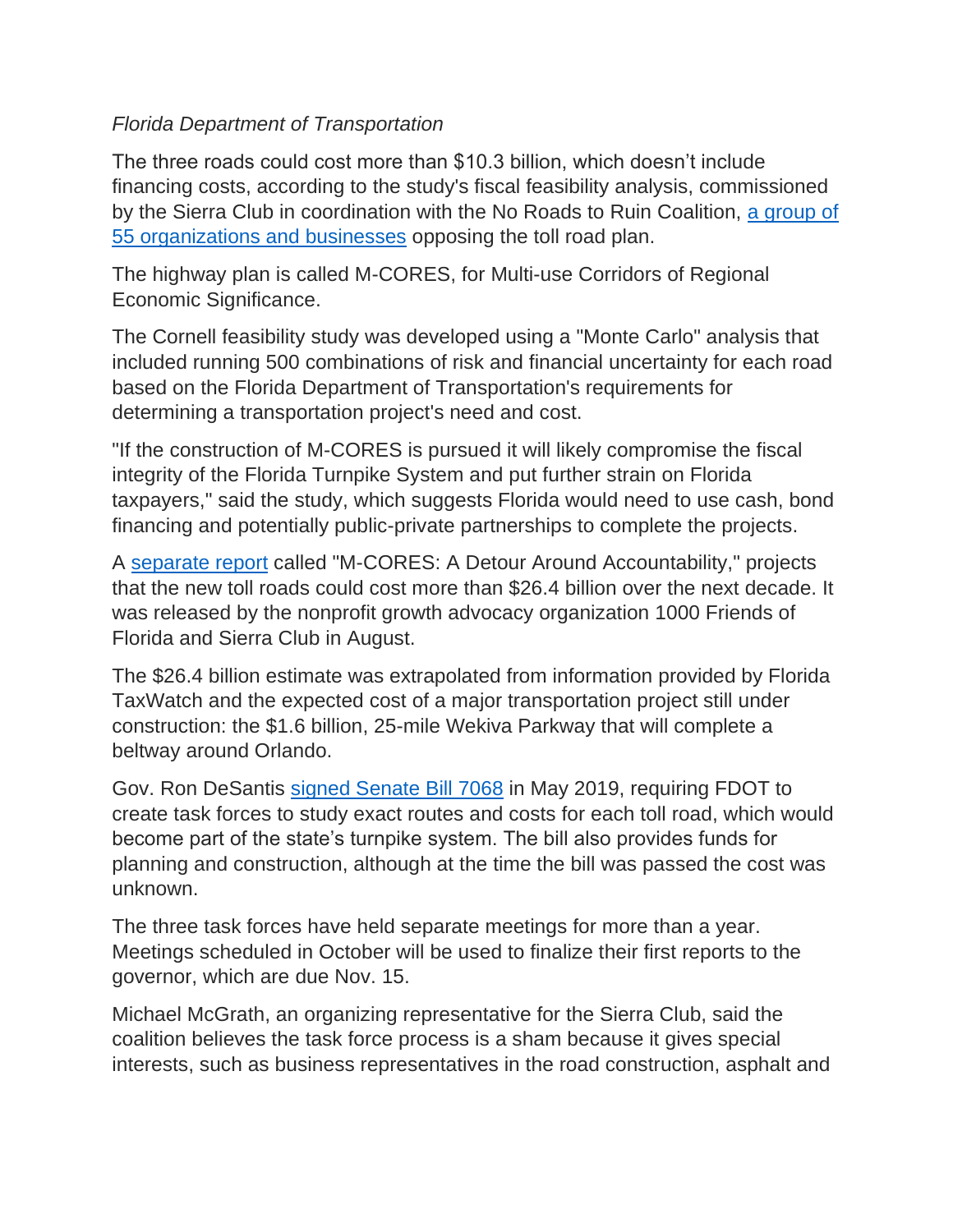#### *Florida Department of Transportation*

The three roads could cost more than \$10.3 billion, which doesn't include financing costs, according to the study's fiscal feasibility analysis, commissioned by the Sierra Club in coordination with the No Roads to Ruin Coalition, [a group of](https://www.bondbuyer.com/news/coalition-forms-to-oppose-building-new-toll-roads-in-florida)  [55 organizations and businesses](https://www.bondbuyer.com/news/coalition-forms-to-oppose-building-new-toll-roads-in-florida) opposing the toll road plan.

The highway plan is called M-CORES, for Multi-use Corridors of Regional Economic Significance.

The Cornell feasibility study was developed using a "Monte Carlo" analysis that included running 500 combinations of risk and financial uncertainty for each road based on the Florida Department of Transportation's requirements for determining a transportation project's need and cost.

"If the construction of M-CORES is pursued it will likely compromise the fiscal integrity of the Florida Turnpike System and put further strain on Florida taxpayers," said the study, which suggests Florida would need to use cash, bond financing and potentially public-private partnerships to complete the projects.

A [separate report](https://1000fof.org/wp-content/uploads/2020/08/2008-M-CORES-A-DETOUR-AROUND-ACCOUNTABILITY-FINAL2.pdf) called "M-CORES: A Detour Around Accountability," projects that the new toll roads could cost more than \$26.4 billion over the next decade. It was released by the nonprofit growth advocacy organization 1000 Friends of Florida and Sierra Club in August.

The \$26.4 billion estimate was extrapolated from information provided by Florida TaxWatch and the expected cost of a major transportation project still under construction: the \$1.6 billion, 25-mile Wekiva Parkway that will complete a beltway around Orlando.

Gov. Ron DeSantis [signed Senate Bill 7068](https://www.bondbuyer.com/news/legal-challenge-looms-after-florida-governor-okays-new-toll-roads) in May 2019, requiring FDOT to create task forces to study exact routes and costs for each toll road, which would become part of the state's turnpike system. The bill also provides funds for planning and construction, although at the time the bill was passed the cost was unknown.

The three task forces have held separate meetings for more than a year. Meetings scheduled in October will be used to finalize their first reports to the governor, which are due Nov. 15.

Michael McGrath, an organizing representative for the Sierra Club, said the coalition believes the task force process is a sham because it gives special interests, such as business representatives in the road construction, asphalt and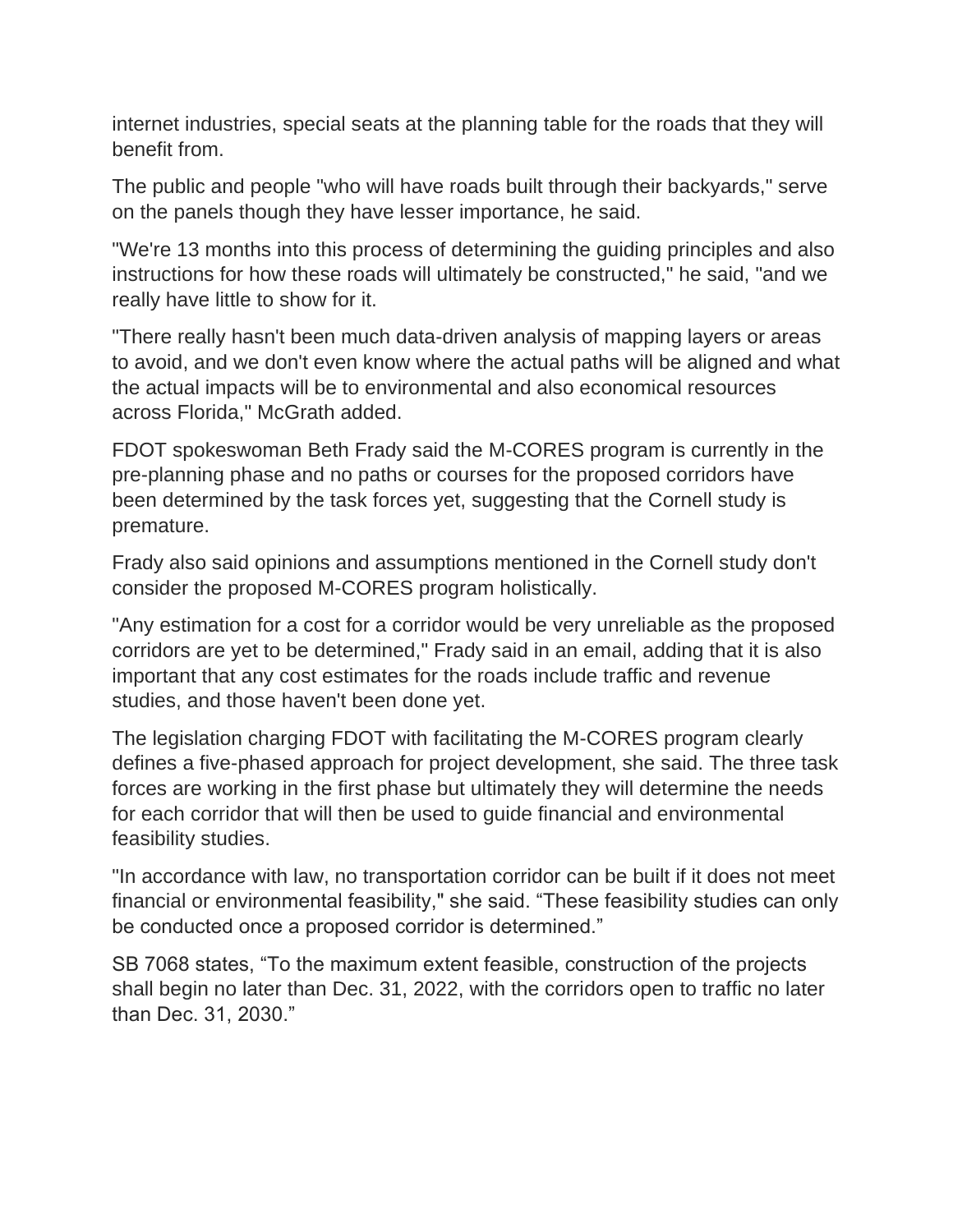internet industries, special seats at the planning table for the roads that they will benefit from.

The public and people "who will have roads built through their backyards," serve on the panels though they have lesser importance, he said.

"We're 13 months into this process of determining the guiding principles and also instructions for how these roads will ultimately be constructed," he said, "and we really have little to show for it.

"There really hasn't been much data-driven analysis of mapping layers or areas to avoid, and we don't even know where the actual paths will be aligned and what the actual impacts will be to environmental and also economical resources across Florida," McGrath added.

FDOT spokeswoman Beth Frady said the M-CORES program is currently in the pre-planning phase and no paths or courses for the proposed corridors have been determined by the task forces yet, suggesting that the Cornell study is premature.

Frady also said opinions and assumptions mentioned in the Cornell study don't consider the proposed M-CORES program holistically.

"Any estimation for a cost for a corridor would be very unreliable as the proposed corridors are yet to be determined," Frady said in an email, adding that it is also important that any cost estimates for the roads include traffic and revenue studies, and those haven't been done yet.

The legislation charging FDOT with facilitating the M-CORES program clearly defines a five-phased approach for project development, she said. The three task forces are working in the first phase but ultimately they will determine the needs for each corridor that will then be used to guide financial and environmental feasibility studies.

"In accordance with law, no transportation corridor can be built if it does not meet financial or environmental feasibility," she said. "These feasibility studies can only be conducted once a proposed corridor is determined."

SB 7068 states, "To the maximum extent feasible, construction of the projects shall begin no later than Dec. 31, 2022, with the corridors open to traffic no later than Dec. 31, 2030."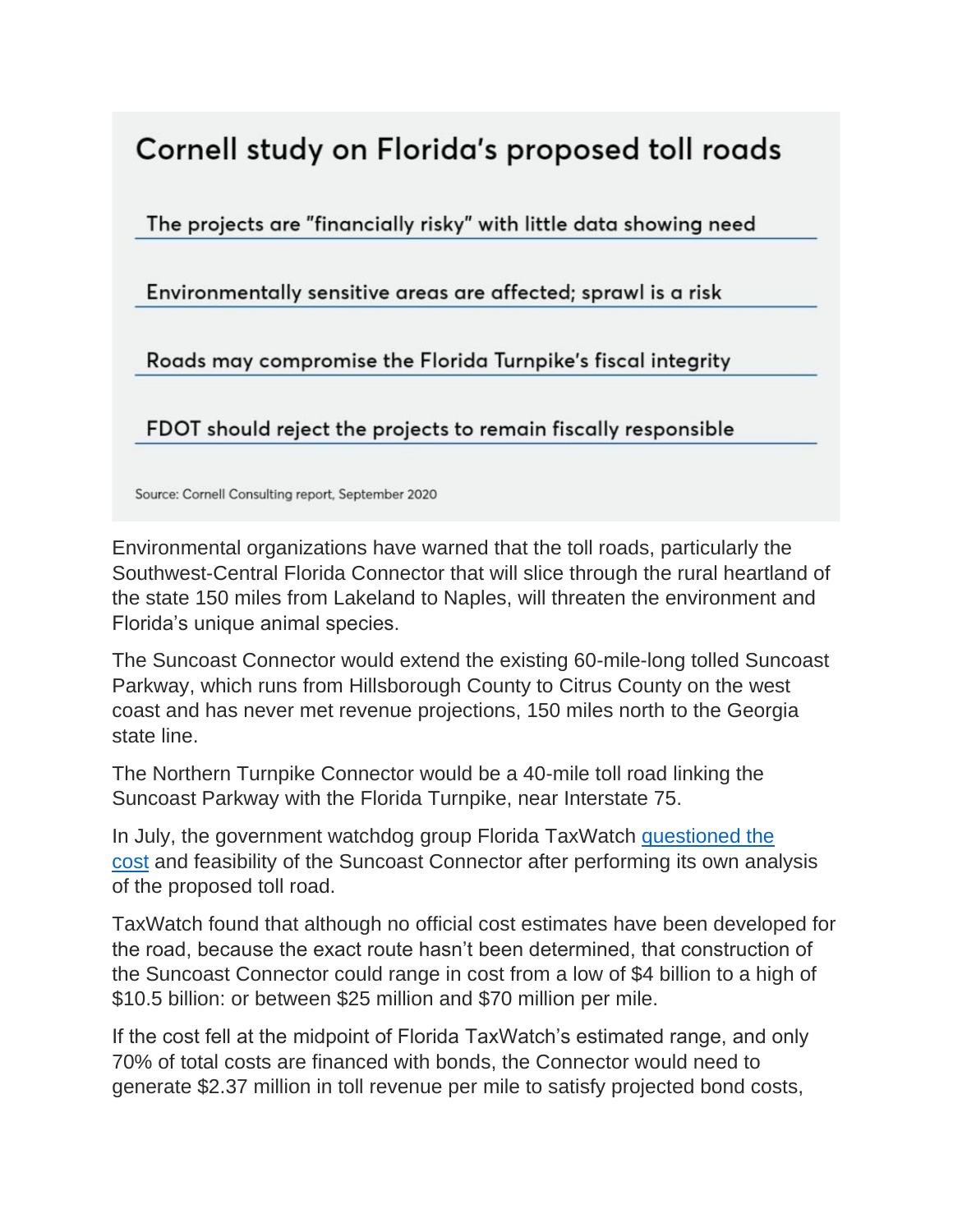## Cornell study on Florida's proposed toll roads

The projects are "financially risky" with little data showing need

Environmentally sensitive areas are affected; sprawl is a risk

Roads may compromise the Florida Turnpike's fiscal integrity

FDOT should reject the projects to remain fiscally responsible

Source: Cornell Consulting report, September 2020

Environmental organizations have warned that the toll roads, particularly the Southwest-Central Florida Connector that will slice through the rural heartland of the state 150 miles from Lakeland to Naples, will threaten the environment and Florida's unique animal species.

The Suncoast Connector would extend the existing 60-mile-long tolled Suncoast Parkway, which runs from Hillsborough County to Citrus County on the west coast and has never met revenue projections, 150 miles north to the Georgia state line.

The Northern Turnpike Connector would be a 40-mile toll road linking the Suncoast Parkway with the Florida Turnpike, near Interstate 75.

In July, the government watchdog group Florida TaxWatch [questioned the](https://www.bondbuyer.com/news/a-tax-watchdog-questions-feasibility-of-florida-toll-road-plan)  [cost](https://www.bondbuyer.com/news/a-tax-watchdog-questions-feasibility-of-florida-toll-road-plan) and feasibility of the Suncoast Connector after performing its own analysis of the proposed toll road.

TaxWatch found that although no official cost estimates have been developed for the road, because the exact route hasn't been determined, that construction of the Suncoast Connector could range in cost from a low of \$4 billion to a high of \$10.5 billion: or between \$25 million and \$70 million per mile.

If the cost fell at the midpoint of Florida TaxWatch's estimated range, and only 70% of total costs are financed with bonds, the Connector would need to generate \$2.37 million in toll revenue per mile to satisfy projected bond costs,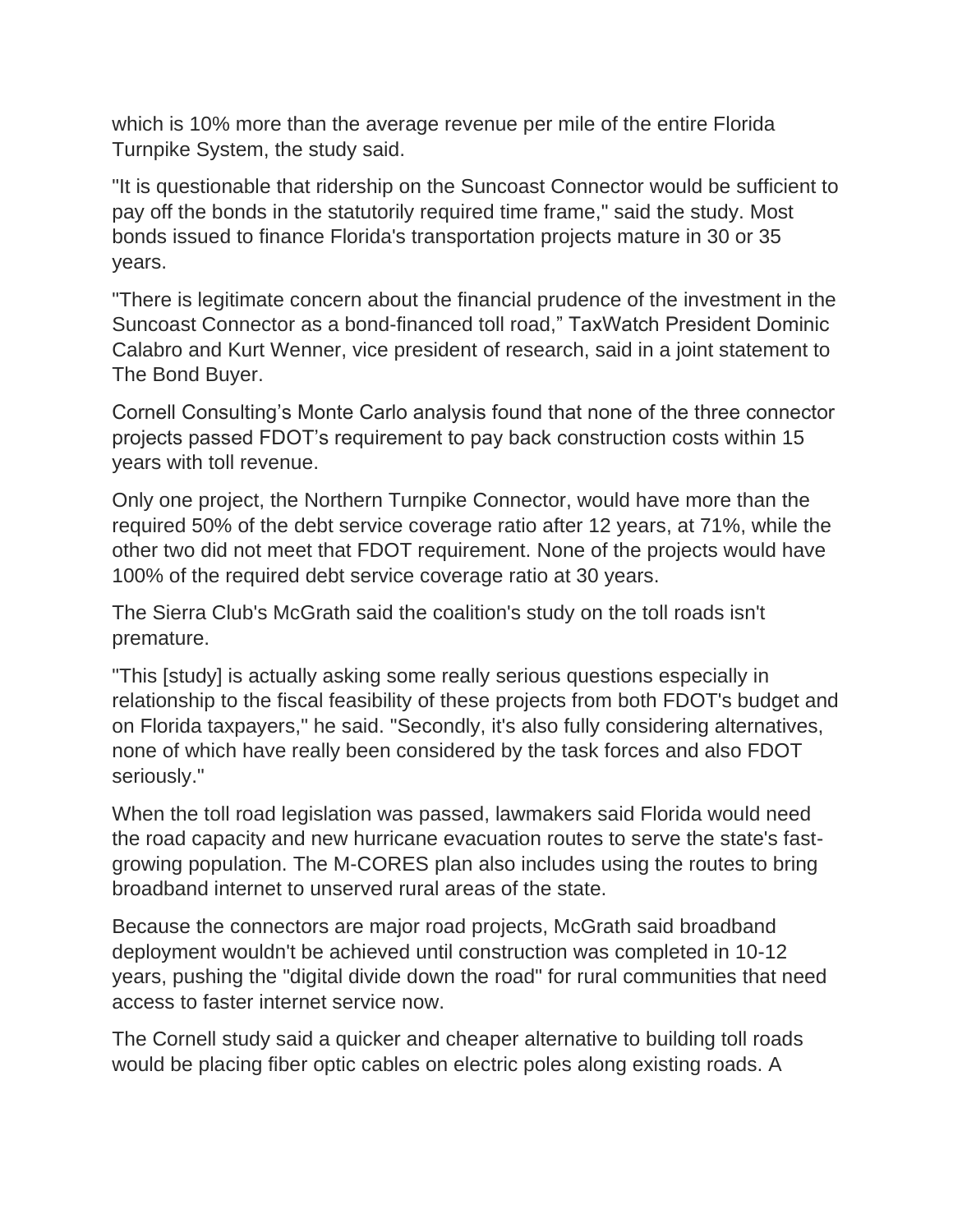which is 10% more than the average revenue per mile of the entire Florida Turnpike System, the study said.

"It is questionable that ridership on the Suncoast Connector would be sufficient to pay off the bonds in the statutorily required time frame," said the study. Most bonds issued to finance Florida's transportation projects mature in 30 or 35 years.

"There is legitimate concern about the financial prudence of the investment in the Suncoast Connector as a bond-financed toll road," TaxWatch President Dominic Calabro and Kurt Wenner, vice president of research, said in a joint statement to The Bond Buyer.

Cornell Consulting's Monte Carlo analysis found that none of the three connector projects passed FDOT's requirement to pay back construction costs within 15 years with toll revenue.

Only one project, the Northern Turnpike Connector, would have more than the required 50% of the debt service coverage ratio after 12 years, at 71%, while the other two did not meet that FDOT requirement. None of the projects would have 100% of the required debt service coverage ratio at 30 years.

The Sierra Club's McGrath said the coalition's study on the toll roads isn't premature.

"This [study] is actually asking some really serious questions especially in relationship to the fiscal feasibility of these projects from both FDOT's budget and on Florida taxpayers," he said. "Secondly, it's also fully considering alternatives, none of which have really been considered by the task forces and also FDOT seriously."

When the toll road legislation was passed, lawmakers said Florida would need the road capacity and new hurricane evacuation routes to serve the state's fastgrowing population. The M-CORES plan also includes using the routes to bring broadband internet to unserved rural areas of the state.

Because the connectors are major road projects, McGrath said broadband deployment wouldn't be achieved until construction was completed in 10-12 years, pushing the "digital divide down the road" for rural communities that need access to faster internet service now.

The Cornell study said a quicker and cheaper alternative to building toll roads would be placing fiber optic cables on electric poles along existing roads. A